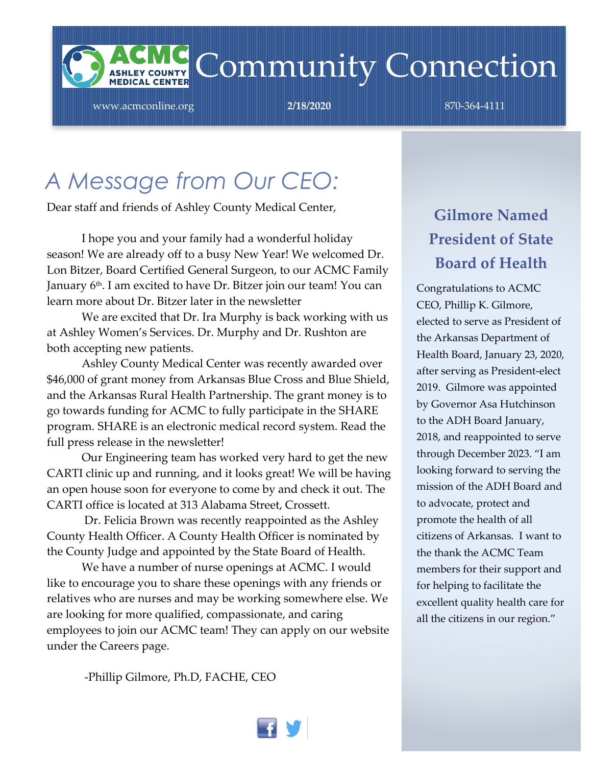

www.acmconline.org **2/18/2020** 870-364-4111

### *A Message from Our CEO:*

Dear staff and friends of Ashley County Medical Center,

I hope you and your family had a wonderful holiday season! We are already off to a busy New Year! We welcomed Dr. Lon Bitzer, Board Certified General Surgeon, to our ACMC Family January 6<sup>th</sup>. I am excited to have Dr. Bitzer join our team! You can learn more about Dr. Bitzer later in the newsletter

We are excited that Dr. Ira Murphy is back working with us at Ashley Women's Services. Dr. Murphy and Dr. Rushton are both accepting new patients.

Ashley County Medical Center was recently awarded over \$46,000 of grant money from Arkansas Blue Cross and Blue Shield, and the Arkansas Rural Health Partnership. The grant money is to go towards funding for ACMC to fully participate in the SHARE program. SHARE is an electronic medical record system. Read the full press release in the newsletter!

Our Engineering team has worked very hard to get the new CARTI clinic up and running, and it looks great! We will be having an open house soon for everyone to come by and check it out. The CARTI office is located at 313 Alabama Street, Crossett.

Dr. Felicia Brown was recently reappointed as the Ashley County Health Officer. A County Health Officer is nominated by the County Judge and appointed by the State Board of Health.

We have a number of nurse openings at ACMC. I would like to encourage you to share these openings with any friends or relatives who are nurses and may be working somewhere else. We are looking for more qualified, compassionate, and caring employees to join our ACMC team! They can apply on our website under the Careers page.

-Phillip Gilmore, Ph.D, FACHE, CEO

### **Gilmore Named President of State Board of Health**

Congratulations to ACMC CEO, Phillip K. Gilmore, elected to serve as President of the Arkansas Department of Health Board, January 23, 2020, after serving as President-elect 2019. Gilmore was appointed by Governor Asa Hutchinson to the ADH Board January, 2018, and reappointed to serve through December 2023. "I am looking forward to serving the mission of the ADH Board and to advocate, protect and promote the health of all citizens of Arkansas. I want to the thank the ACMC Team members for their support and for helping to facilitate the excellent quality health care for all the citizens in our region."

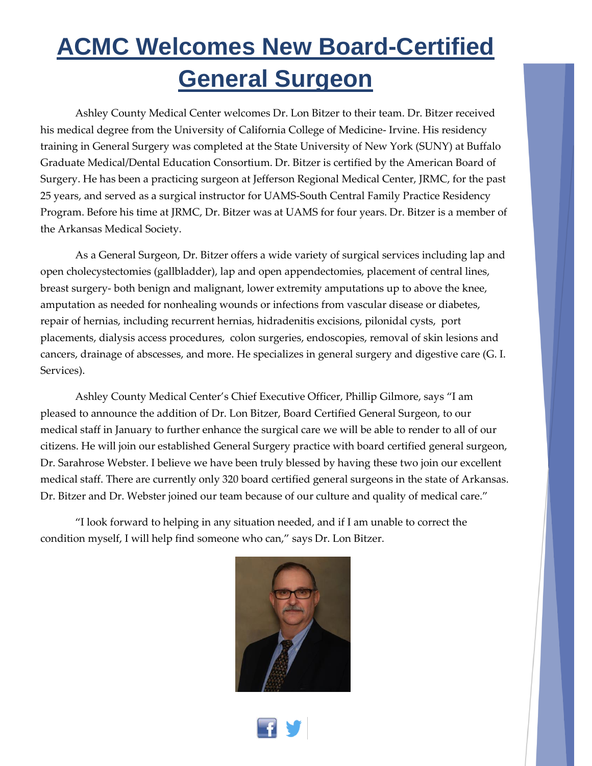## **ACMC Welcomes New Board-Certified General Surgeon**

Ashley County Medical Center welcomes Dr. Lon Bitzer to their team. Dr. Bitzer received his medical degree from the University of California College of Medicine- Irvine. His residency training in General Surgery was completed at the State University of New York (SUNY) at Buffalo Graduate Medical/Dental Education Consortium. Dr. Bitzer is certified by the American Board of Surgery. He has been a practicing surgeon at Jefferson Regional Medical Center, JRMC, for the past 25 years, and served as a surgical instructor for UAMS-South Central Family Practice Residency Program. Before his time at JRMC, Dr. Bitzer was at UAMS for four years. Dr. Bitzer is a member of the Arkansas Medical Society.

As a General Surgeon, Dr. Bitzer offers a wide variety of surgical services including lap and open cholecystectomies (gallbladder), lap and open appendectomies, placement of central lines, breast surgery- both benign and malignant, lower extremity amputations up to above the knee, amputation as needed for nonhealing wounds or infections from vascular disease or diabetes, repair of hernias, including recurrent hernias, hidradenitis excisions, pilonidal cysts, port placements, dialysis access procedures, colon surgeries, endoscopies, removal of skin lesions and cancers, drainage of abscesses, and more. He specializes in general surgery and digestive care (G. I. Services).

Ashley County Medical Center's Chief Executive Officer, Phillip Gilmore, says "I am pleased to announce the addition of Dr. Lon Bitzer, Board Certified General Surgeon, to our medical staff in January to further enhance the surgical care we will be able to render to all of our citizens. He will join our established General Surgery practice with board certified general surgeon, Dr. Sarahrose Webster. I believe we have been truly blessed by having these two join our excellent medical staff. There are currently only 320 board certified general surgeons in the state of Arkansas. Dr. Bitzer and Dr. Webster joined our team because of our culture and quality of medical care."

"I look forward to helping in any situation needed, and if I am unable to correct the condition myself, I will help find someone who can," says Dr. Lon Bitzer.



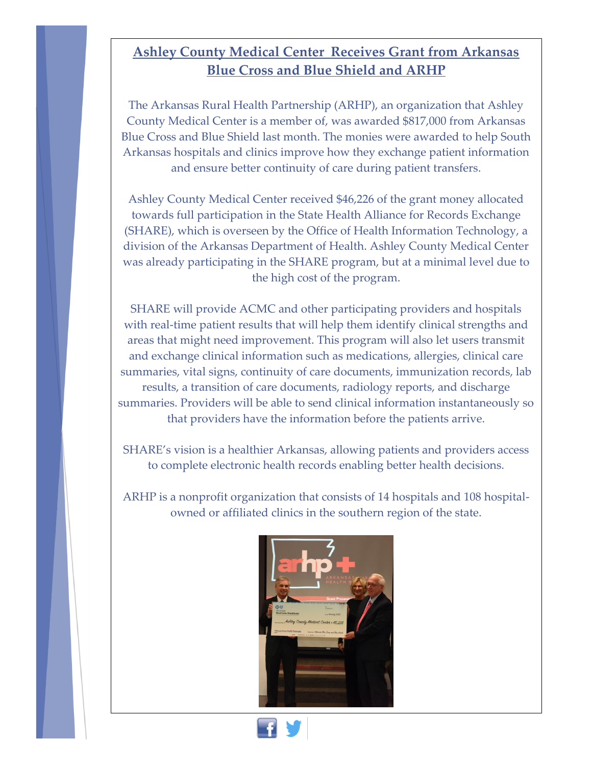#### **Ashley County Medical Center Receives Grant from Arkansas Blue Cross and Blue Shield and ARHP**

The Arkansas Rural Health Partnership (ARHP), an organization that Ashley County Medical Center is a member of, was awarded \$817,000 from Arkansas Blue Cross and Blue Shield last month. The monies were awarded to help South Arkansas hospitals and clinics improve how they exchange patient information and ensure better continuity of care during patient transfers.

Ashley County Medical Center received \$46,226 of the grant money allocated towards full participation in the State Health Alliance for Records Exchange (SHARE), which is overseen by the Office of Health Information Technology, a division of the Arkansas Department of Health. Ashley County Medical Center was already participating in the SHARE program, but at a minimal level due to the high cost of the program.

SHARE will provide ACMC and other participating providers and hospitals with real-time patient results that will help them identify clinical strengths and areas that might need improvement. This program will also let users transmit and exchange clinical information such as medications, allergies, clinical care summaries, vital signs, continuity of care documents, immunization records, lab results, a transition of care documents, radiology reports, and discharge summaries. Providers will be able to send clinical information instantaneously so that providers have the information before the patients arrive.

SHARE's vision is a healthier Arkansas, allowing patients and providers access to complete electronic health records enabling better health decisions.

ARHP is a nonprofit organization that consists of 14 hospitals and 108 hospitalowned or affiliated clinics in the southern region of the state.



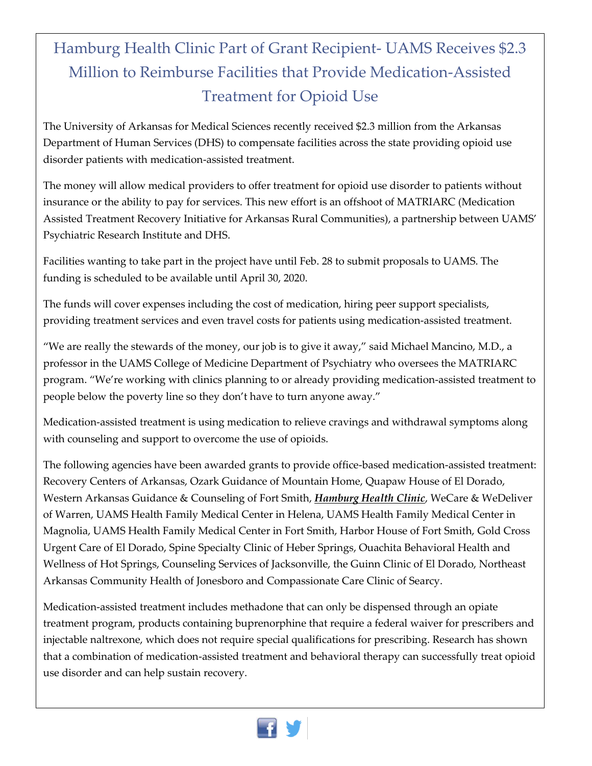### Hamburg Health Clinic Part of Grant Recipient- UAMS Receives \$2.3 Million to Reimburse Facilities that Provide Medication-Assisted Treatment for Opioid Use

The University of Arkansas for Medical Sciences recently received \$2.3 million from the Arkansas Department of Human Services (DHS) to compensate facilities across the state providing opioid use disorder patients with medication-assisted treatment.

The money will allow medical providers to offer treatment for opioid use disorder to patients without insurance or the ability to pay for services. This new effort is an offshoot of MATRIARC (Medication Assisted Treatment Recovery Initiative for Arkansas Rural Communities), a partnership between UAMS' Psychiatric Research Institute and DHS.

Facilities wanting to take part in the project have until Feb. 28 to submit proposals to UAMS. The funding is scheduled to be available until April 30, 2020.

The funds will cover expenses including the cost of medication, hiring peer support specialists, providing treatment services and even travel costs for patients using medication-assisted treatment.

"We are really the stewards of the money, our job is to give it away," said Michael Mancino, M.D., a professor in the UAMS College of Medicine Department of Psychiatry who oversees the MATRIARC program. "We're working with clinics planning to or already providing medication-assisted treatment to people below the poverty line so they don't have to turn anyone away."

Medication-assisted treatment is using medication to relieve cravings and withdrawal symptoms along with counseling and support to overcome the use of opioids.

The following agencies have been awarded grants to provide office-based medication-assisted treatment: Recovery Centers of Arkansas, Ozark Guidance of Mountain Home, Quapaw House of El Dorado, Western Arkansas Guidance & Counseling of Fort Smith, *Hamburg Health Clinic*, WeCare & WeDeliver of Warren, UAMS Health Family Medical Center in Helena, UAMS Health Family Medical Center in Magnolia, UAMS Health Family Medical Center in Fort Smith, Harbor House of Fort Smith, Gold Cross Urgent Care of El Dorado, Spine Specialty Clinic of Heber Springs, Ouachita Behavioral Health and Wellness of Hot Springs, Counseling Services of Jacksonville, the Guinn Clinic of El Dorado, Northeast Arkansas Community Health of Jonesboro and Compassionate Care Clinic of Searcy.

Medication-assisted treatment includes methadone that can only be dispensed through an opiate treatment program, products containing buprenorphine that require a federal waiver for prescribers and injectable naltrexone, which does not require special qualifications for prescribing. Research has shown that a combination of medication-assisted treatment and behavioral therapy can successfully treat opioid use disorder and can help sustain recovery.

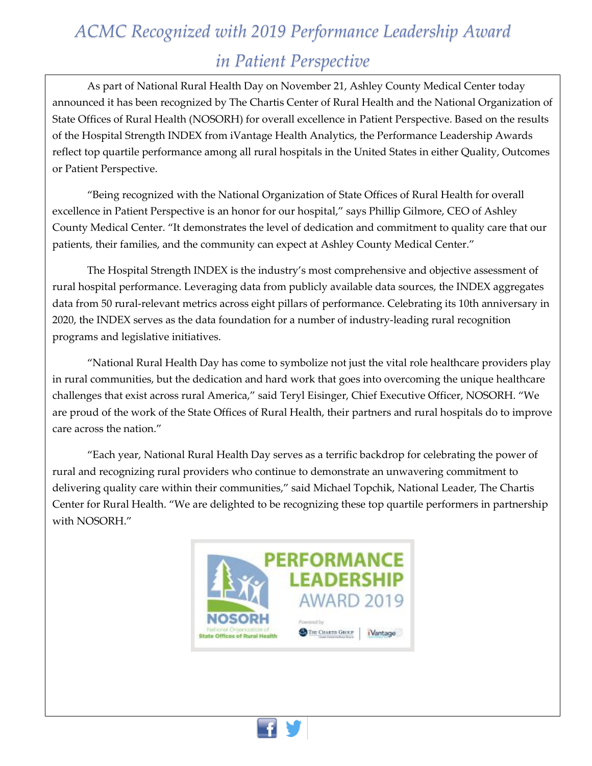### *ACMC Recognized with 2019 Performance Leadership Award in Patient Perspective*

As part of National Rural Health Day on November 21, Ashley County Medical Center today announced it has been recognized by The Chartis Center of Rural Health and the National Organization of State Offices of Rural Health (NOSORH) for overall excellence in Patient Perspective. Based on the results of the Hospital Strength INDEX from iVantage Health Analytics, the Performance Leadership Awards reflect top quartile performance among all rural hospitals in the United States in either Quality, Outcomes or Patient Perspective.

"Being recognized with the National Organization of State Offices of Rural Health for overall excellence in Patient Perspective is an honor for our hospital," says Phillip Gilmore, CEO of Ashley County Medical Center. "It demonstrates the level of dedication and commitment to quality care that our patients, their families, and the community can expect at Ashley County Medical Center."

The Hospital Strength INDEX is the industry's most comprehensive and objective assessment of rural hospital performance. Leveraging data from publicly available data sources, the INDEX aggregates data from 50 rural-relevant metrics across eight pillars of performance. Celebrating its 10th anniversary in 2020, the INDEX serves as the data foundation for a number of industry-leading rural recognition programs and legislative initiatives.

"National Rural Health Day has come to symbolize not just the vital role healthcare providers play in rural communities, but the dedication and hard work that goes into overcoming the unique healthcare challenges that exist across rural America," said Teryl Eisinger, Chief Executive Officer, NOSORH. "We are proud of the work of the State Offices of Rural Health, their partners and rural hospitals do to improve care across the nation."

"Each year, National Rural Health Day serves as a terrific backdrop for celebrating the power of rural and recognizing rural providers who continue to demonstrate an unwavering commitment to delivering quality care within their communities," said Michael Topchik, National Leader, The Chartis Center for Rural Health. "We are delighted to be recognizing these top quartile performers in partnership with NOSORH."

 $\overline{\phantom{a}}$ 

 $\overline{\phantom{a}}$ 

 $\overline{\phantom{a}}$ 



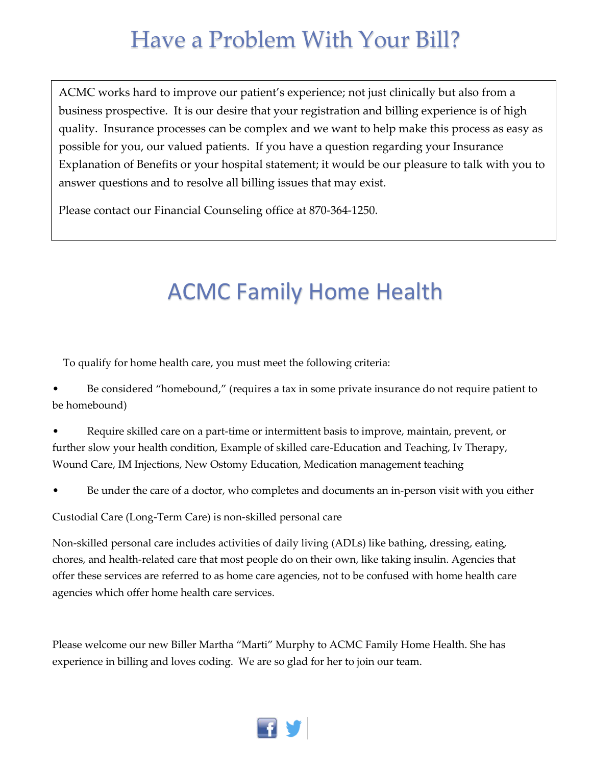### Have a Problem With Your Bill?

ACMC works hard to improve our patient's experience; not just clinically but also from a business prospective. It is our desire that your registration and billing experience is of high quality. Insurance processes can be complex and we want to help make this process as easy as possible for you, our valued patients. If you have a question regarding your Insurance Explanation of Benefits or your hospital statement; it would be our pleasure to talk with you to answer questions and to resolve all billing issues that may exist.

Please contact our Financial Counseling office at 870-364-1250.

### ACMC Family Home Health

To qualify for home health care, you must meet the following criteria:

Be considered "homebound," (requires a tax in some private insurance do not require patient to be homebound)

• Require skilled care on a part-time or intermittent basis to improve, maintain, prevent, or further slow your health condition, Example of skilled care-Education and Teaching, Iv Therapy, Wound Care, IM Injections, New Ostomy Education, Medication management teaching

• Be under the care of a doctor, who completes and documents an in-person visit with you either

Custodial Care (Long-Term Care) is non-skilled personal care

Non-skilled personal care includes activities of daily living (ADLs) like bathing, dressing, eating, chores, and health-related care that most people do on their own, like taking insulin. Agencies that offer these services are referred to as home care agencies, not to be confused with home health care agencies which offer home health care services.

Please welcome our new Biller Martha "Marti" Murphy to ACMC Family Home Health. She has experience in billing and loves coding. We are so glad for her to join our team.

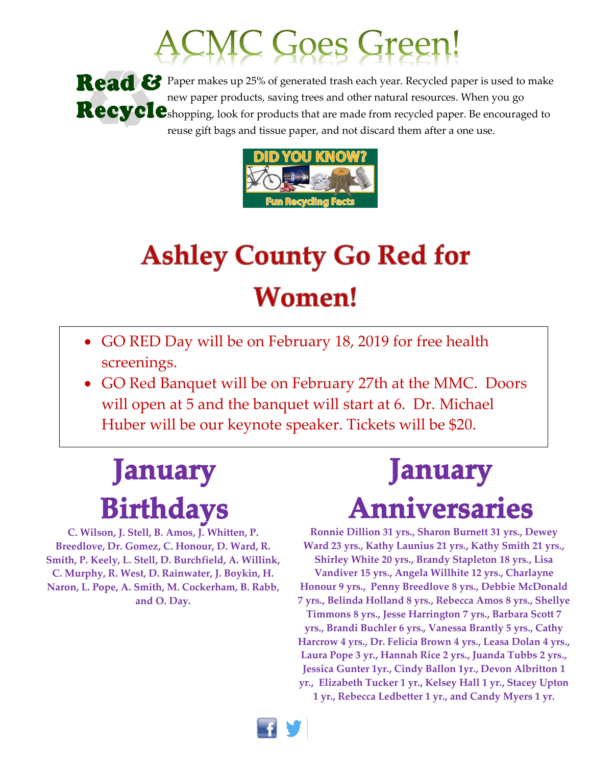# CMC Goes Green!

Read & Paper makes up 25% of generated trash each year. Recycled paper is used to make new paper products, saving trees and other natural resources. When you go Recycleshopping, look for products that are made from recycled paper. Be encouraged to reuse gift bags and tissue paper, and not discard them after a one use.



## **Ashley County Go Red for Women!**

- GO RED Day will be on February 18, 2019 for free health screenings.
- GO Red Banquet will be on February 27th at the MMC. Doors will open at 5 and the banquet will start at 6. Dr. Michael Huber will be our keynote speaker. Tickets will be \$20.

## **January Birthdays**

**C. Wilson, J. Stell, B. Amos, J. Whitten, P. Breedlove, Dr. Gomez, C. Honour, D. Ward, R. Smith, P. Keely, L. Stell, D. Burchfield, A. Willink, C. Murphy, R. West, D. Rainwater, J. Boykin, H. Naron, L. Pope, A. Smith, M. Cockerham, B. Rabb, and O. Day.**

## **January Anniversaries**

**Ronnie Dillion 31 yrs., Sharon Burnett 31 yrs., Dewey Ward 23 yrs., Kathy Launius 21 yrs., Kathy Smith 21 yrs., Shirley White 20 yrs., Brandy Stapleton 18 yrs., Lisa Vandiver 15 yrs., Angela Willhite 12 yrs., Charlayne Honour 9 yrs., Penny Breedlove 8 yrs., Debbie McDonald 7 yrs., Belinda Holland 8 yrs., Rebecca Amos 8 yrs., Shellye Timmons 8 yrs., Jesse Harrington 7 yrs., Barbara Scott 7 yrs., Brandi Buchler 6 yrs., Vanessa Brantly 5 yrs., Cathy Harcrow 4 yrs., Dr. Felicia Brown 4 yrs., Leasa Dolan 4 yrs., Laura Pope 3 yr., Hannah Rice 2 yrs., Juanda Tubbs 2 yrs., Jessica Gunter 1yr., Cindy Ballon 1yr., Devon Albritton 1 yr., Elizabeth Tucker 1 yr., Kelsey Hall 1 yr., Stacey Upton 1 yr., Rebecca Ledbetter 1 yr., and Candy Myers 1 yr.**